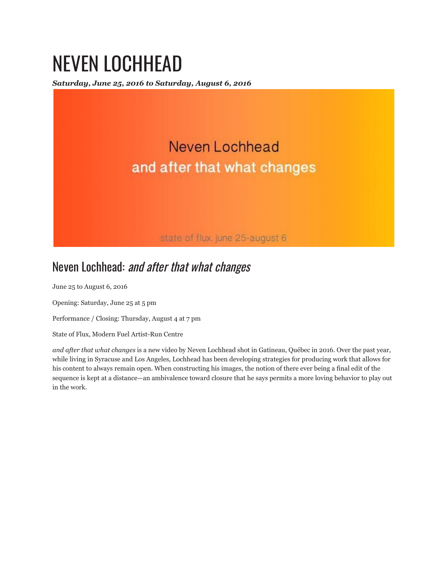## NEVEN LOCHHEAD

*Saturday, June 25, 2016 to Saturday, August 6, 2016*



## Neven Lochhead: and after that what changes

June 25 to August 6, 2016

Opening: Saturday, June 25 at 5 pm

Performance / Closing: Thursday, August 4 at 7 pm

State of Flux, Modern Fuel Artist-Run Centre

*and after that what changes* is a new video by Neven Lochhead shot in Gatineau, Québec in 2016. Over the past year, while living in Syracuse and Los Angeles, Lochhead has been developing strategies for producing work that allows for his content to always remain open. When constructing his images, the notion of there ever being a final edit of the sequence is kept at a distance—an ambivalence toward closure that he says permits a more loving behavior to play out in the work.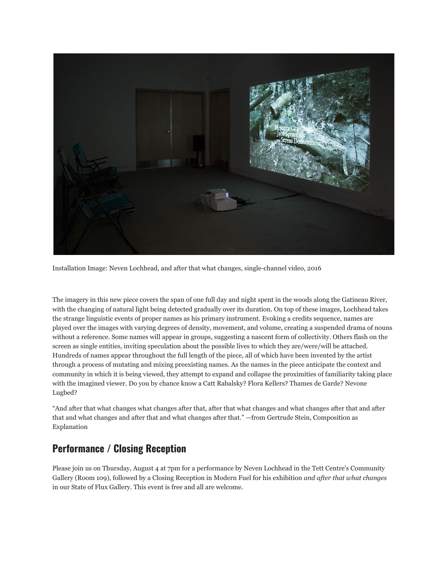

Installation Image: Neven Lochhead, and after that what changes, single-channel video, 2016

The imagery in this new piece covers the span of one full day and night spent in the woods along the Gatineau River, with the changing of natural light being detected gradually over its duration. On top of these images, Lochhead takes the strange linguistic events of proper names as his primary instrument. Evoking a credits sequence, names are played over the images with varying degrees of density, movement, and volume, creating a suspended drama of nouns without a reference. Some names will appear in groups, suggesting a nascent form of collectivity. Others flash on the screen as single entities, inviting speculation about the possible lives to which they are/were/will be attached. Hundreds of names appear throughout the full length of the piece, all of which have been invented by the artist through a process of mutating and mixing preexisting names. As the names in the piece anticipate the context and community in which it is being viewed, they attempt to expand and collapse the proximities of familiarity taking place with the imagined viewer. Do you by chance know a Catt Rabalsky? Flora Kellers? Thames de Garde? Nevone Lugbed?

"And after that what changes what changes after that, after that what changes and what changes after that and after that and what changes and after that and what changes after that." —from Gertrude Stein, Composition as Explanation

## **Performance / Closing Reception**

Please join us on Thursday, August 4 at 7pm for a performance by Neven Lochhead in the Tett Centre's Community Gallery (Room 109), followed by a Closing Reception in Modern Fuel for his exhibition *and after that what changes* in our State of Flux Gallery. This event is free and all are welcome.